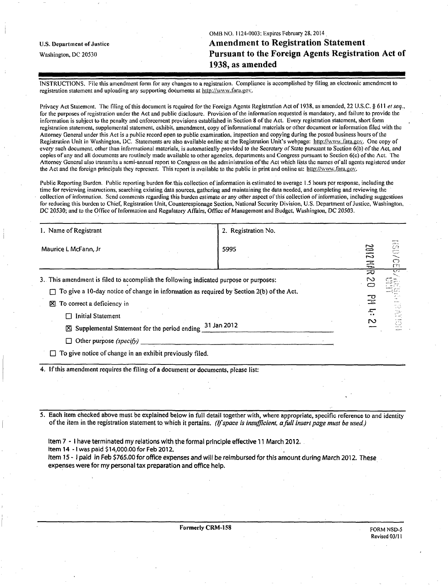OMB NO. 1124-0003: Expires February 28.2014 u.s. Department of justice Amendment to Registration Statement Washington, DC 20530 Pursuant to the Foreign Agents Registration Act of 1938, as amended

INSTRUCTIONS. File this amendment form for any changes to a registration. Compliance is accomplished by filing an electronic amendment to registration statement and uploading any supporting documents at [http://www.fara.gov.](http://www.fara.gov)

Privacy Act Statement. The filing of this document is required for the Foreign Agents Registration Act of 1938, as amended, 22 U.S.C. § 611 et seq., for the purposes of registration under the Act and public disclosure. Provision of the information requested is mandatory, and failure to provide the information is subject to the penalty and enforcement provisions established in Section 8 of the Act. Every registration statement, short form registration statement, supplemental statement, exhibit, amendment, copy of informational materials or other document or information filed with the Attorney General under this Act is a public record open to public examination, inspection and copying during the posted business hours ofthe Registration Unit in Washington, DC. Statements are also available online at the Registration Unit's webpage: http://www.fara.gov. One copy of every such document, other than informational materials, is automatically provided to the Secretary of State pursuant to Section 6(b) of the Act, and copies of any and all documents are routinely made available to other agencies, departments and Congress pursuant to Section 6(c) ofthe Act. The Attorney General also transmits a semi-annual report to Congress on the administration ofthe Act which lists the names of all agents registered under the Act and the foreign principals they represent. This report is available to the public in print and online at: http://www.fara.gov.

Public Reporting Burden. Public reporting burden for this collection of information is estimated to average 1.5 hours per response, including the time for reviewing instructions, searching existing data sources, gathering and maintaining the data needed, and completing and reviewing the collection of information. Send comments regarding this burden estimate or any other aspect of this collection of information, including suggestions for reducing this burden to Chief, Registration Unit, Counterespionage Section, National Security Division, U.S. Department of Justice, Washington, DC 20530; and to the Office of Information and Regulatory Affairs, Office of Management and Budget, Washington, DC 20503.

| 1. Name of Registrant                                                                                                                                                                                                                                                                                                 | 2. Registration No. |                                                                |                                                                             |
|-----------------------------------------------------------------------------------------------------------------------------------------------------------------------------------------------------------------------------------------------------------------------------------------------------------------------|---------------------|----------------------------------------------------------------|-----------------------------------------------------------------------------|
| Maurice L McFann, Jr                                                                                                                                                                                                                                                                                                  | 5995                | ڪ<br>د٣<br>픇                                                   | $A + 4$<br>CO.<br>$\widetilde{\sigma}$<br>$\Gamma$                          |
| 3. This amendment is filed to accomplish the following indicated purpose or purposes:<br>To give a 10-day notice of change in information as required by Section 2(b) of the Act.<br>To correct a deficiency in<br>図<br><b>Initial Statement</b><br>31 Jan 2012<br>$[8]$ Supplemental Statement for the period ending |                     | プ<br>$\sim$<br>$\sum_{i=1}^{n}$<br>5<br>$\mathsf{r}\mathsf{v}$ | $\overline{1}$<br>er jar<br>a tut<br>رجعات<br>$\sim$ $\sim$<br>¢Э<br>وستناء |
| Other purpose (specify)<br>П<br>$\Box$ To give notice of change in an exhibit previously filed.                                                                                                                                                                                                                       |                     |                                                                |                                                                             |

4. If this amendment requires the filing of a document or documents, please list:

5. Each item checked above must be explained below in full detail together with, where appropriate, specific reference to and identity of the item in the registration statement to which it pertains. (If space is insufficient, a full insert page must be used.)

Item 7 - I have terminated my relations with the formal principle effective 11 March 2012.

Item 14 -1 was paid \$14,000.00 for Feb 2012.

Item 15-1 paid in Feb \$765.00 for office expenses and will be reimbursed for this amount during March 2012. These expenses were for my personal tax preparation and office help.

Formerly CRM-158 FORM NSD-5